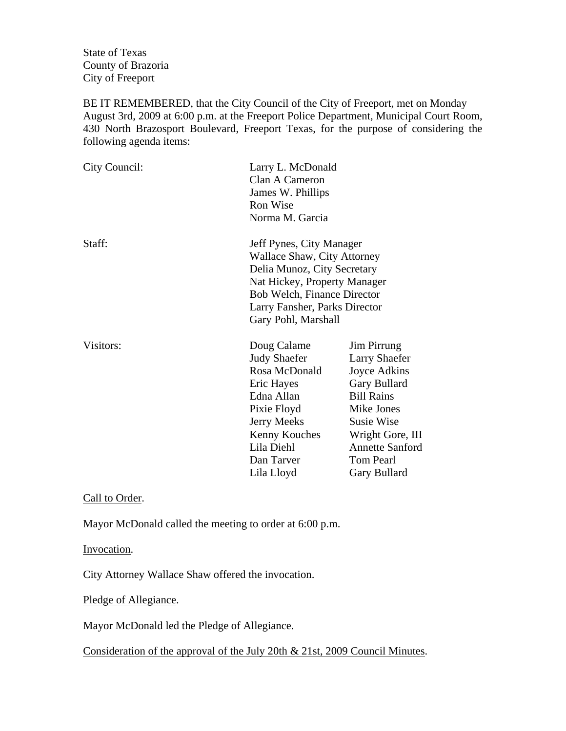State of Texas County of Brazoria City of Freeport

BE IT REMEMBERED, that the City Council of the City of Freeport, met on Monday August 3rd, 2009 at 6:00 p.m. at the Freeport Police Department, Municipal Court Room, 430 North Brazosport Boulevard, Freeport Texas, for the purpose of considering the following agenda items:

| City Council: | Larry L. McDonald<br>Clan A Cameron<br>James W. Phillips<br>Ron Wise<br>Norma M. Garcia                                                                                                                       |                                                                                                                                                                                                        |
|---------------|---------------------------------------------------------------------------------------------------------------------------------------------------------------------------------------------------------------|--------------------------------------------------------------------------------------------------------------------------------------------------------------------------------------------------------|
| Staff:        | Jeff Pynes, City Manager<br>Wallace Shaw, City Attorney<br>Delia Munoz, City Secretary<br>Nat Hickey, Property Manager<br>Bob Welch, Finance Director<br>Larry Fansher, Parks Director<br>Gary Pohl, Marshall |                                                                                                                                                                                                        |
| Visitors:     | Doug Calame<br><b>Judy Shaefer</b><br>Rosa McDonald<br>Eric Hayes<br>Edna Allan<br>Pixie Floyd<br>Jerry Meeks<br>Kenny Kouches<br>Lila Diehl<br>Dan Tarver<br>Lila Lloyd                                      | Jim Pirrung<br><b>Larry Shaefer</b><br>Joyce Adkins<br>Gary Bullard<br><b>Bill Rains</b><br>Mike Jones<br><b>Susie Wise</b><br>Wright Gore, III<br><b>Annette Sanford</b><br>Tom Pearl<br>Gary Bullard |

Call to Order.

Mayor McDonald called the meeting to order at 6:00 p.m.

Invocation.

City Attorney Wallace Shaw offered the invocation.

Pledge of Allegiance.

Mayor McDonald led the Pledge of Allegiance.

Consideration of the approval of the July 20th & 21st, 2009 Council Minutes.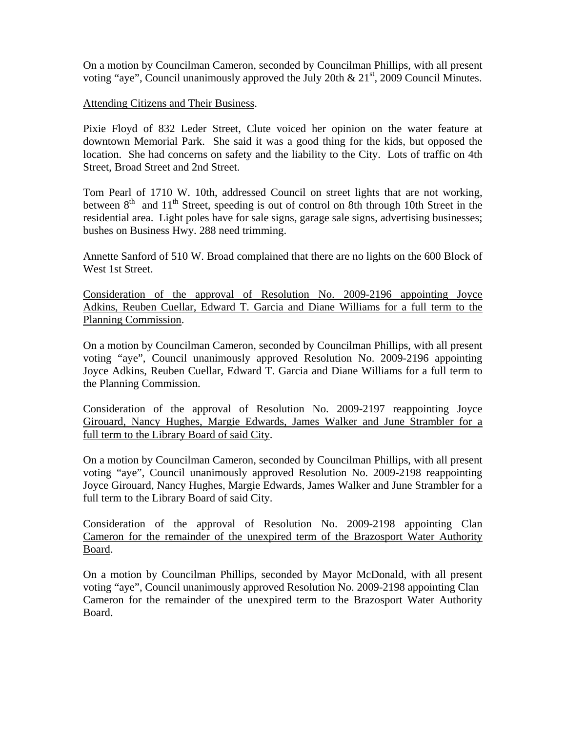On a motion by Councilman Cameron, seconded by Councilman Phillips, with all present voting "aye", Council unanimously approved the July 20th  $\&$  21<sup>st</sup>, 2009 Council Minutes.

Attending Citizens and Their Business.

Pixie Floyd of 832 Leder Street, Clute voiced her opinion on the water feature at downtown Memorial Park. She said it was a good thing for the kids, but opposed the location. She had concerns on safety and the liability to the City. Lots of traffic on 4th Street, Broad Street and 2nd Street.

Tom Pearl of 1710 W. 10th, addressed Council on street lights that are not working, between  $8<sup>th</sup>$  and  $11<sup>th</sup>$  Street, speeding is out of control on 8th through 10th Street in the residential area. Light poles have for sale signs, garage sale signs, advertising businesses; bushes on Business Hwy. 288 need trimming.

Annette Sanford of 510 W. Broad complained that there are no lights on the 600 Block of West 1st Street.

Consideration of the approval of Resolution No. 2009-2196 appointing Joyce Adkins, Reuben Cuellar, Edward T. Garcia and Diane Williams for a full term to the Planning Commission.

On a motion by Councilman Cameron, seconded by Councilman Phillips, with all present voting "aye", Council unanimously approved Resolution No. 2009-2196 appointing Joyce Adkins, Reuben Cuellar, Edward T. Garcia and Diane Williams for a full term to the Planning Commission.

Consideration of the approval of Resolution No. 2009-2197 reappointing Joyce Girouard, Nancy Hughes, Margie Edwards, James Walker and June Strambler for a full term to the Library Board of said City.

On a motion by Councilman Cameron, seconded by Councilman Phillips, with all present voting "aye", Council unanimously approved Resolution No. 2009-2198 reappointing Joyce Girouard, Nancy Hughes, Margie Edwards, James Walker and June Strambler for a full term to the Library Board of said City.

Consideration of the approval of Resolution No. 2009-2198 appointing Clan Cameron for the remainder of the unexpired term of the Brazosport Water Authority Board.

On a motion by Councilman Phillips, seconded by Mayor McDonald, with all present voting "aye", Council unanimously approved Resolution No. 2009-2198 appointing Clan Cameron for the remainder of the unexpired term to the Brazosport Water Authority Board.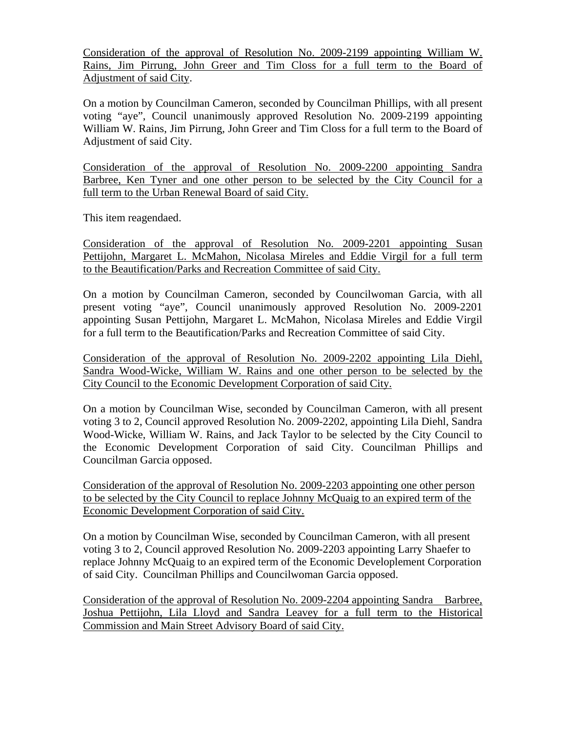Consideration of the approval of Resolution No. 2009-2199 appointing William W. Rains, Jim Pirrung, John Greer and Tim Closs for a full term to the Board of Adjustment of said City.

On a motion by Councilman Cameron, seconded by Councilman Phillips, with all present voting "aye", Council unanimously approved Resolution No. 2009-2199 appointing William W. Rains, Jim Pirrung, John Greer and Tim Closs for a full term to the Board of Adjustment of said City.

Consideration of the approval of Resolution No. 2009-2200 appointing Sandra Barbree, Ken Tyner and one other person to be selected by the City Council for a full term to the Urban Renewal Board of said City.

This item reagendaed.

Consideration of the approval of Resolution No. 2009-2201 appointing Susan Pettijohn, Margaret L. McMahon, Nicolasa Mireles and Eddie Virgil for a full term to the Beautification/Parks and Recreation Committee of said City.

On a motion by Councilman Cameron, seconded by Councilwoman Garcia, with all present voting "aye", Council unanimously approved Resolution No. 2009-2201 appointing Susan Pettijohn, Margaret L. McMahon, Nicolasa Mireles and Eddie Virgil for a full term to the Beautification/Parks and Recreation Committee of said City.

Consideration of the approval of Resolution No. 2009-2202 appointing Lila Diehl, Sandra Wood-Wicke, William W. Rains and one other person to be selected by the City Council to the Economic Development Corporation of said City.

On a motion by Councilman Wise, seconded by Councilman Cameron, with all present voting 3 to 2, Council approved Resolution No. 2009-2202, appointing Lila Diehl, Sandra Wood-Wicke, William W. Rains, and Jack Taylor to be selected by the City Council to the Economic Development Corporation of said City. Councilman Phillips and Councilman Garcia opposed.

Consideration of the approval of Resolution No. 2009-2203 appointing one other person to be selected by the City Council to replace Johnny McQuaig to an expired term of the Economic Development Corporation of said City.

On a motion by Councilman Wise, seconded by Councilman Cameron, with all present voting 3 to 2, Council approved Resolution No. 2009-2203 appointing Larry Shaefer to replace Johnny McQuaig to an expired term of the Economic Developlement Corporation of said City. Councilman Phillips and Councilwoman Garcia opposed.

Consideration of the approval of Resolution No. 2009-2204 appointing Sandra Barbree, Joshua Pettijohn, Lila Lloyd and Sandra Leavey for a full term to the Historical Commission and Main Street Advisory Board of said City.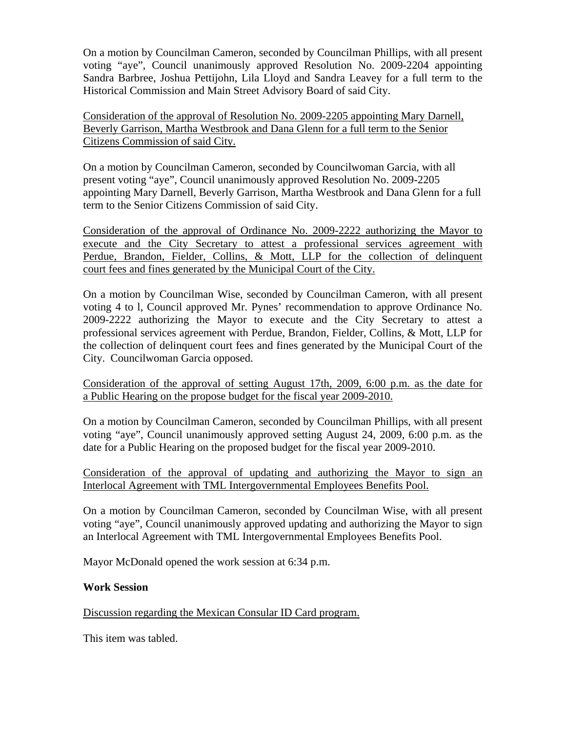On a motion by Councilman Cameron, seconded by Councilman Phillips, with all present voting "aye", Council unanimously approved Resolution No. 2009-2204 appointing Sandra Barbree, Joshua Pettijohn, Lila Lloyd and Sandra Leavey for a full term to the Historical Commission and Main Street Advisory Board of said City.

Consideration of the approval of Resolution No. 2009-2205 appointing Mary Darnell, Beverly Garrison, Martha Westbrook and Dana Glenn for a full term to the Senior Citizens Commission of said City.

On a motion by Councilman Cameron, seconded by Councilwoman Garcia, with all present voting "aye", Council unanimously approved Resolution No. 2009-2205 appointing Mary Darnell, Beverly Garrison, Martha Westbrook and Dana Glenn for a full term to the Senior Citizens Commission of said City.

Consideration of the approval of Ordinance No. 2009-2222 authorizing the Mayor to execute and the City Secretary to attest a professional services agreement with Perdue, Brandon, Fielder, Collins, & Mott, LLP for the collection of delinquent court fees and fines generated by the Municipal Court of the City.

On a motion by Councilman Wise, seconded by Councilman Cameron, with all present voting 4 to l, Council approved Mr. Pynes' recommendation to approve Ordinance No. 2009-2222 authorizing the Mayor to execute and the City Secretary to attest a professional services agreement with Perdue, Brandon, Fielder, Collins, & Mott, LLP for the collection of delinquent court fees and fines generated by the Municipal Court of the City. Councilwoman Garcia opposed.

Consideration of the approval of setting August 17th, 2009, 6:00 p.m. as the date for a Public Hearing on the propose budget for the fiscal year 2009-2010.

On a motion by Councilman Cameron, seconded by Councilman Phillips, with all present voting "aye", Council unanimously approved setting August 24, 2009, 6:00 p.m. as the date for a Public Hearing on the proposed budget for the fiscal year 2009-2010.

Consideration of the approval of updating and authorizing the Mayor to sign an Interlocal Agreement with TML Intergovernmental Employees Benefits Pool.

On a motion by Councilman Cameron, seconded by Councilman Wise, with all present voting "aye", Council unanimously approved updating and authorizing the Mayor to sign an Interlocal Agreement with TML Intergovernmental Employees Benefits Pool.

Mayor McDonald opened the work session at 6:34 p.m.

## **Work Session**

## Discussion regarding the Mexican Consular ID Card program.

This item was tabled.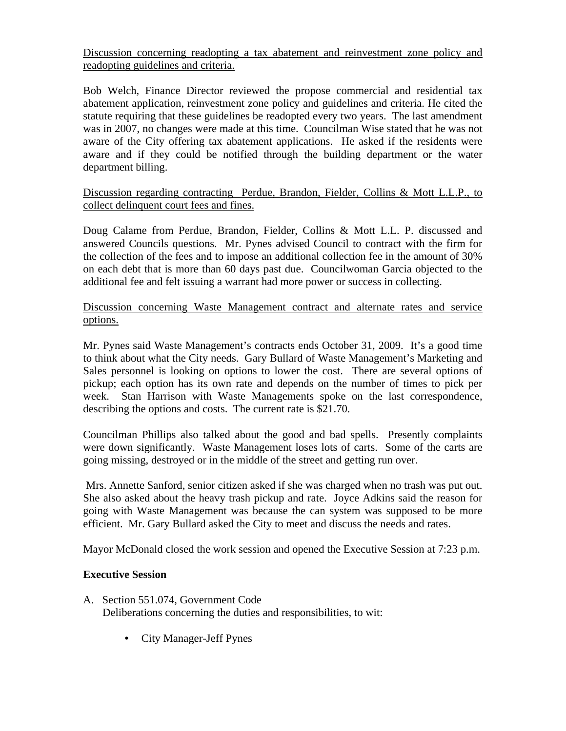Discussion concerning readopting a tax abatement and reinvestment zone policy and readopting guidelines and criteria.

Bob Welch, Finance Director reviewed the propose commercial and residential tax abatement application, reinvestment zone policy and guidelines and criteria. He cited the statute requiring that these guidelines be readopted every two years. The last amendment was in 2007, no changes were made at this time. Councilman Wise stated that he was not aware of the City offering tax abatement applications. He asked if the residents were aware and if they could be notified through the building department or the water department billing.

Discussion regarding contracting Perdue, Brandon, Fielder, Collins & Mott L.L.P., to collect delinquent court fees and fines.

Doug Calame from Perdue, Brandon, Fielder, Collins & Mott L.L. P. discussed and answered Councils questions. Mr. Pynes advised Council to contract with the firm for the collection of the fees and to impose an additional collection fee in the amount of 30% on each debt that is more than 60 days past due. Councilwoman Garcia objected to the additional fee and felt issuing a warrant had more power or success in collecting.

Discussion concerning Waste Management contract and alternate rates and service options.

Mr. Pynes said Waste Management's contracts ends October 31, 2009. It's a good time to think about what the City needs. Gary Bullard of Waste Management's Marketing and Sales personnel is looking on options to lower the cost. There are several options of pickup; each option has its own rate and depends on the number of times to pick per week. Stan Harrison with Waste Managements spoke on the last correspondence, describing the options and costs. The current rate is \$21.70.

Councilman Phillips also talked about the good and bad spells. Presently complaints were down significantly. Waste Management loses lots of carts. Some of the carts are going missing, destroyed or in the middle of the street and getting run over.

 Mrs. Annette Sanford, senior citizen asked if she was charged when no trash was put out. She also asked about the heavy trash pickup and rate. Joyce Adkins said the reason for going with Waste Management was because the can system was supposed to be more efficient. Mr. Gary Bullard asked the City to meet and discuss the needs and rates.

Mayor McDonald closed the work session and opened the Executive Session at 7:23 p.m.

## **Executive Session**

- A. Section 551.074, Government Code Deliberations concerning the duties and responsibilities, to wit:
	- City Manager-Jeff Pynes